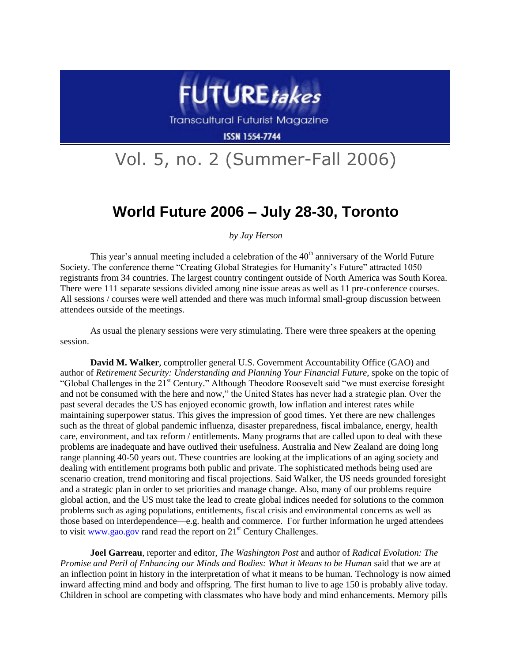

**Transcultural Futurist Magazine** 

**ISSN 1554-7744** 

## Vol. 5, no. 2 (Summer-Fall 2006)

## **World Future 2006 – July 28-30, Toronto**

*by Jay Herson*

This year's annual meeting included a celebration of the  $40<sup>th</sup>$  anniversary of the World Future Society. The conference theme "Creating Global Strategies for Humanity's Future" attracted 1050 registrants from 34 countries. The largest country contingent outside of North America was South Korea. There were 111 separate sessions divided among nine issue areas as well as 11 pre-conference courses. All sessions / courses were well attended and there was much informal small-group discussion between attendees outside of the meetings.

As usual the plenary sessions were very stimulating. There were three speakers at the opening session.

**David M. Walker**, comptroller general U.S. Government Accountability Office (GAO) and author of *Retirement Security: Understanding and Planning Your Financial Future*, spoke on the topic of "Global Challenges in the 21<sup>st</sup> Century." Although Theodore Roosevelt said "we must exercise foresight and not be consumed with the here and now," the United States has never had a strategic plan. Over the past several decades the US has enjoyed economic growth, low inflation and interest rates while maintaining superpower status. This gives the impression of good times. Yet there are new challenges such as the threat of global pandemic influenza, disaster preparedness, fiscal imbalance, energy, health care, environment, and tax reform / entitlements. Many programs that are called upon to deal with these problems are inadequate and have outlived their usefulness. Australia and New Zealand are doing long range planning 40-50 years out. These countries are looking at the implications of an aging society and dealing with entitlement programs both public and private. The sophisticated methods being used are scenario creation, trend monitoring and fiscal projections. Said Walker, the US needs grounded foresight and a strategic plan in order to set priorities and manage change. Also, many of our problems require global action, and the US must take the lead to create global indices needed for solutions to the common problems such as aging populations, entitlements, fiscal crisis and environmental concerns as well as those based on interdependence—e.g. health and commerce. For further information he urged attendees to visit [www.gao.gov](http://www.gao.gov/) rand read the report on  $21<sup>st</sup>$  Century Challenges.

**Joel Garreau**, reporter and editor, *The Washington Post* and author of *Radical Evolution: The Promise and Peril of Enhancing our Minds and Bodies: What it Means to be Human said that we are at* an inflection point in history in the interpretation of what it means to be human. Technology is now aimed inward affecting mind and body and offspring. The first human to live to age 150 is probably alive today. Children in school are competing with classmates who have body and mind enhancements. Memory pills